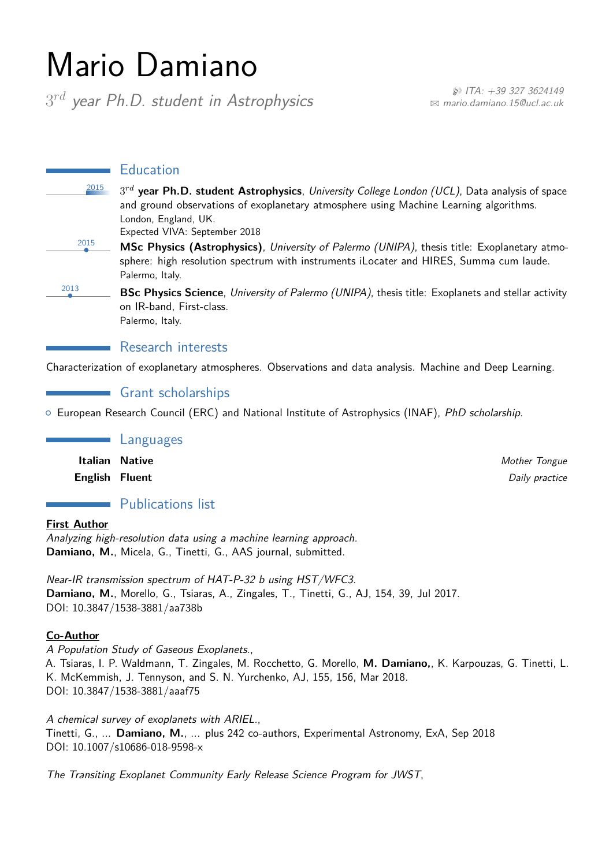# Mario Damiano

3*rd year Ph.D. student in Astrophysics* <sup>H</sup> *ITA: +39 327 3624149*

B *[mario.damiano.15@ucl.ac.uk](mailto:mario.damiano.15@ucl.ac.uk)*

**Education** 

<sup>2015</sup> 3*rd* **year Ph.D. student Astrophysics**, *University College London (UCL)*, Data analysis of space and ground observations of exoplanetary atmosphere using Machine Learning algorithms. London, England, UK.

Expected VIVA: September 2018

- 2015 *•* **MSc Physics (Astrophysics)**, *University of Palermo (UNIPA)*, thesis title: Exoplanetary atmosphere: high resolution spectrum with instruments iLocater and HIRES, Summa cum laude. Palermo, Italy.
	- *•* **BSc Physics Science**, *University of Palermo (UNIPA)*, thesis title: Exoplanets and stellar activity on IR-band, First-class. Palermo, Italy.

Research interests

Characterization of exoplanetary atmospheres. Observations and data analysis. Machine and Deep Learning.

**Grant scholarships** 

{ European Research Council (ERC) and National Institute of Astrophysics (INAF), *PhD scholarship*.

Languages

**Italian Native** *Mother Tongue* **English Fluent** *Daily practice*

# Publications list

**First Author**

2013

*Analyzing high-resolution data using a machine learning approach.* **Damiano, M.**, Micela, G., Tinetti, G., AAS journal, submitted.

*Near-IR transmission spectrum of HAT-P-32 b using HST/WFC3.* **Damiano, M.**, Morello, G., Tsiaras, A., Zingales, T., Tinetti, G., AJ, 154, 39, Jul 2017. DOI: 10.3847/1538-3881/aa738b

#### **Co-Author**

*A Population Study of Gaseous Exoplanets.*, A. Tsiaras, I. P. Waldmann, T. Zingales, M. Rocchetto, G. Morello, **M. Damiano,**, K. Karpouzas, G. Tinetti, L. K. McKemmish, J. Tennyson, and S. N. Yurchenko, AJ, 155, 156, Mar 2018. DOI: 10.3847/1538-3881/aaaf75

*A chemical survey of exoplanets with ARIEL.*, Tinetti, G., ... **Damiano, M.**, ... plus 242 co-authors, Experimental Astronomy, ExA, Sep 2018 DOI: 10.1007/s10686-018-9598-x

*The Transiting Exoplanet Community Early Release Science Program for JWST*,